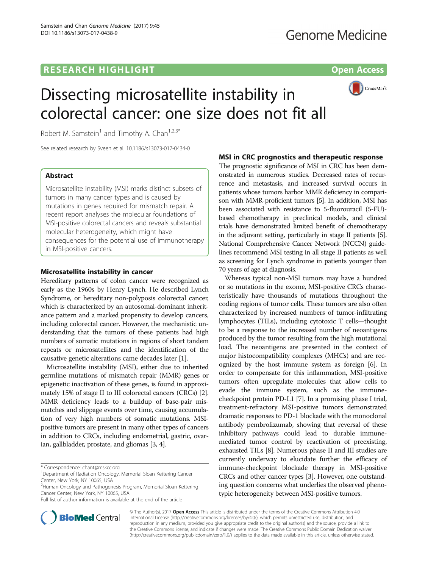# **RESEARCH HIGHLIGHT CONSUMING THE OPEN ACCESS**



# Dissecting microsatellite instability in colorectal cancer: one size does not fit all

Robert M. Samstein<sup>1</sup> and Timothy A. Chan<sup>1,2,3\*</sup>

See related research by Sveen et al. [10.1186/s13073-017-0434-0](http://dx.doi.org/10.1186/s13073-017-0434-0)

## Abstract

Microsatellite instability (MSI) marks distinct subsets of tumors in many cancer types and is caused by mutations in genes required for mismatch repair. A recent report analyses the molecular foundations of MSI-positive colorectal cancers and reveals substantial molecular heterogeneity, which might have consequences for the potential use of immunotherapy in MSI-positive cancers.

#### Microsatellite instability in cancer

Hereditary patterns of colon cancer were recognized as early as the 1960s by Henry Lynch. He described Lynch Syndrome, or hereditary non-polyposis colorectal cancer, which is characterized by an autosomal-dominant inheritance pattern and a marked propensity to develop cancers, including colorectal cancer. However, the mechanistic understanding that the tumors of these patients had high numbers of somatic mutations in regions of short tandem repeats or microsatellites and the identification of the causative genetic alterations came decades later [[1\]](#page-1-0).

Microsatellite instability (MSI), either due to inherited germline mutations of mismatch repair (MMR) genes or epigenetic inactivation of these genes, is found in approximately 15% of stage II to III colorectal cancers (CRCs) [[2](#page-1-0)]. MMR deficiency leads to a buildup of base-pair mismatches and slippage events over time, causing accumulation of very high numbers of somatic mutations. MSIpositive tumors are present in many other types of cancers in addition to CRCs, including endometrial, gastric, ovarian, gallbladder, prostate, and gliomas [\[3, 4](#page-1-0)].



onstrated in numerous studies. Decreased rates of recurrence and metastasis, and increased survival occurs in patients whose tumors harbor MMR deficiency in comparison with MMR-proficient tumors [[5](#page-1-0)]. In addition, MSI has been associated with resistance to 5-fluorouracil (5-FU) based chemotherapy in preclinical models, and clinical trials have demonstrated limited benefit of chemotherapy in the adjuvant setting, particularly in stage II patients [[5](#page-1-0)]. National Comprehensive Cancer Network (NCCN) guidelines recommend MSI testing in all stage II patients as well as screening for Lynch syndrome in patients younger than 70 years of age at diagnosis.

Whereas typical non-MSI tumors may have a hundred or so mutations in the exome, MSI-positive CRCs characteristically have thousands of mutations throughout the coding regions of tumor cells. These tumors are also often characterized by increased numbers of tumor-infiltrating lymphocytes (TILs), including cytotoxic T cells—thought to be a response to the increased number of neoantigens produced by the tumor resulting from the high mutational load. The neoantigens are presented in the context of major histocompatibility complexes (MHCs) and are recognized by the host immune system as foreign [\[6\]](#page-1-0). In order to compensate for this inflammation, MSI-positive tumors often upregulate molecules that allow cells to evade the immune system, such as the immunecheckpoint protein PD-L1 [\[7](#page-1-0)]. In a promising phase I trial, treatment-refractory MSI-positive tumors demonstrated dramatic responses to PD-1 blockade with the monoclonal antibody pembrolizumab, showing that reversal of these inhibitory pathways could lead to durable immunemediated tumor control by reactivation of preexisting, exhausted TILs [\[8](#page-1-0)]. Numerous phase II and III studies are currently underway to elucidate further the efficacy of immune-checkpoint blockade therapy in MSI-positive CRCs and other cancer types [[3\]](#page-1-0). However, one outstanding question concerns what underlies the observed phenotypic heterogeneity between MSI-positive tumors.



© The Author(s). 2017 **Open Access** This article is distributed under the terms of the Creative Commons Attribution 4.0 International License [\(http://creativecommons.org/licenses/by/4.0/](http://creativecommons.org/licenses/by/4.0/)), which permits unrestricted use, distribution, and reproduction in any medium, provided you give appropriate credit to the original author(s) and the source, provide a link to the Creative Commons license, and indicate if changes were made. The Creative Commons Public Domain Dedication waiver [\(http://creativecommons.org/publicdomain/zero/1.0/](http://creativecommons.org/publicdomain/zero/1.0/)) applies to the data made available in this article, unless otherwise stated.

<sup>\*</sup> Correspondence: [chant@mskcc.org](mailto:chant@mskcc.org) <sup>1</sup>

Department of Radiation Oncology, Memorial Sloan Kettering Cancer Center, New York, NY 10065, USA

<sup>&</sup>lt;sup>2</sup>Human Oncology and Pathogenesis Program, Memorial Sloan Kettering Cancer Center, New York, NY 10065, USA

Full list of author information is available at the end of the article